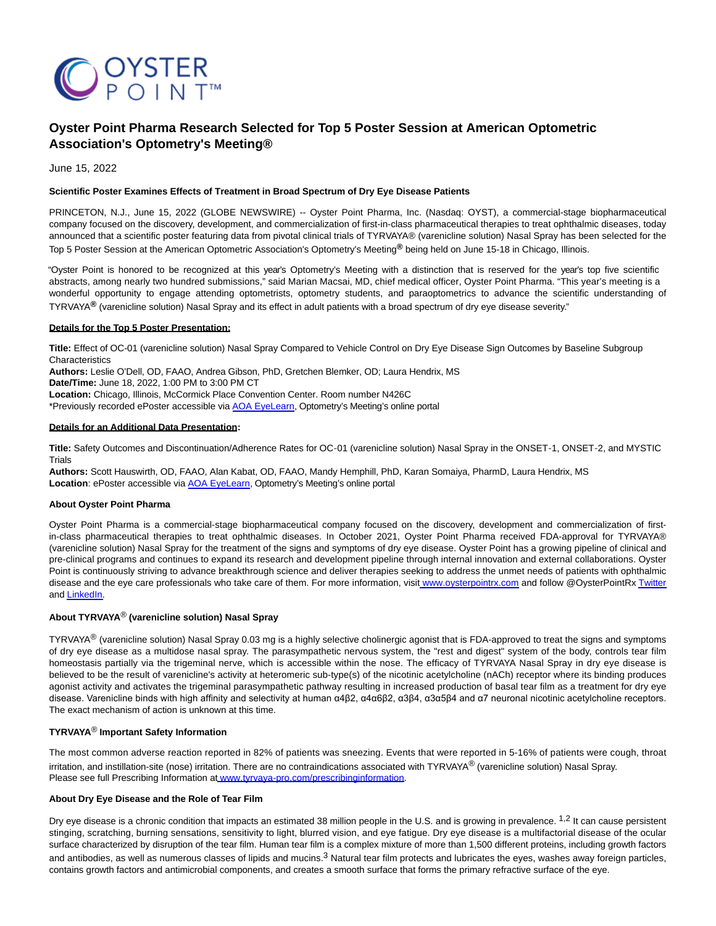

# **Oyster Point Pharma Research Selected for Top 5 Poster Session at American Optometric Association's Optometry's Meeting®**

June 15, 2022

# **Scientific Poster Examines Effects of Treatment in Broad Spectrum of Dry Eye Disease Patients**

PRINCETON, N.J., June 15, 2022 (GLOBE NEWSWIRE) -- Oyster Point Pharma, Inc. (Nasdaq: OYST), a commercial-stage biopharmaceutical company focused on the discovery, development, and commercialization of first-in-class pharmaceutical therapies to treat ophthalmic diseases, today announced that a scientific poster featuring data from pivotal clinical trials of TYRVAYA® (varenicline solution) Nasal Spray has been selected for the Top 5 Poster Session at the American Optometric Association's Optometry's Meeting**®** being held on June 15-18 in Chicago, Illinois.

"Oyster Point is honored to be recognized at this year's Optometry's Meeting with a distinction that is reserved for the year's top five scientific abstracts, among nearly two hundred submissions," said Marian Macsai, MD, chief medical officer, Oyster Point Pharma. "This year's meeting is a wonderful opportunity to engage attending optometrists, optometry students, and paraoptometrics to advance the scientific understanding of TYRVAYA**®** (varenicline solution) Nasal Spray and its effect in adult patients with a broad spectrum of dry eye disease severity."

### **Details for the Top 5 Poster Presentation:**

**Title:** Effect of OC-01 (varenicline solution) Nasal Spray Compared to Vehicle Control on Dry Eye Disease Sign Outcomes by Baseline Subgroup **Characteristics** 

**Authors:** Leslie O'Dell, OD, FAAO, Andrea Gibson, PhD, Gretchen Blemker, OD; Laura Hendrix, MS

**Date/Time:** June 18, 2022, 1:00 PM to 3:00 PM CT

**Location:** Chicago, Illinois, McCormick Place Convention Center. Room number N426C

\*Previously recorded ePoster accessible via **AOA EveLearn**, Optometry's Meeting's online portal

### **Details for an Additional Data Presentation:**

**Title:** Safety Outcomes and Discontinuation/Adherence Rates for OC-01 (varenicline solution) Nasal Spray in the ONSET-1, ONSET-2, and MYSTIC Trials

**Authors:** Scott Hauswirth, OD, FAAO, Alan Kabat, OD, FAAO, Mandy Hemphill, PhD, Karan Somaiya, PharmD, Laura Hendrix, MS Location: ePoster accessible via **AOA EyeLearn**, Optometry's Meeting's online portal

### **About Oyster Point Pharma**

Oyster Point Pharma is a commercial-stage biopharmaceutical company focused on the discovery, development and commercialization of firstin-class pharmaceutical therapies to treat ophthalmic diseases. In October 2021, Oyster Point Pharma received FDA-approval for TYRVAYA® (varenicline solution) Nasal Spray for the treatment of the signs and symptoms of dry eye disease. Oyster Point has a growing pipeline of clinical and pre-clinical programs and continues to expand its research and development pipeline through internal innovation and external collaborations. Oyster Point is continuously striving to advance breakthrough science and deliver therapies seeking to address the unmet needs of patients with ophthalmic disease and the eye care professionals who take care of them. For more information, visit [www.oysterpointrx.com a](https://www.globenewswire.com/Tracker?data=eidRL0bQWwjmRPSgI7Y9D94hfCf3gsYfgMjr-ZN-nCqWA886sT_JTs1gajGVVtn0ae0sYD0sRuhwCaven_WKz_0aLAMh-DVCjI-frPJzfKo=)nd follow @OysterPointR[x Twitter](https://www.globenewswire.com/Tracker?data=snzCJMpB8tqPxDwMEcSm84IeCVG6e0xwW7sZatFC1mynWDYV4IBCpGjqjhrLB5lUq17mexYClp8-8iNslCrNew==) an[d LinkedIn.](https://www.globenewswire.com/Tracker?data=AVgiB12HHEJ2sHsxlIBcOSMm8XrLBIxZCMgUP7rgsTFhB2QDS0Gzpvk76zwEFPBjEesHvexxP1QVqzO_GOCjx89URjRRpqZ7M4Zk6y_tsq0=)

# **About TYRVAYA**® **(varenicline solution) Nasal Spray**

TYRVAYA<sup>®</sup> (varenicline solution) Nasal Spray 0.03 mg is a highly selective cholinergic agonist that is FDA-approved to treat the signs and symptoms of dry eye disease as a multidose nasal spray. The parasympathetic nervous system, the "rest and digest" system of the body, controls tear film homeostasis partially via the trigeminal nerve, which is accessible within the nose. The efficacy of TYRVAYA Nasal Spray in dry eye disease is believed to be the result of varenicline's activity at heteromeric sub-type(s) of the nicotinic acetylcholine (nACh) receptor where its binding produces agonist activity and activates the trigeminal parasympathetic pathway resulting in increased production of basal tear film as a treatment for dry eye disease. Varenicline binds with high affinity and selectivity at human α4β2, α4α6β2, α3β4, α3α5β4 and α7 neuronal nicotinic acetylcholine receptors. The exact mechanism of action is unknown at this time.

# **TYRVAYA**® **Important Safety Information**

The most common adverse reaction reported in 82% of patients was sneezing. Events that were reported in 5-16% of patients were cough, throat irritation, and instillation-site (nose) irritation. There are no contraindications associated with TYRVAYA® (varenicline solution) Nasal Spray. Please see full Prescribing Information at [www.tyrvaya-pro.com/prescribinginformation.](https://www.globenewswire.com/Tracker?data=Oq4co8zq-jXcA4GE9qioLjc74vtyzTJG-puXbp4s8Vj9Pvh824r3WE33ZUfw6b6HBT_SrMSLbJ4eFQlRh_jj-Hv4HRc2EZW3Ri_5YJZRZCktYkr2wNoQB-QpzOgBkZ0yg5yfS7INDN9YDisTdT68-25OOUWrkkBlXwLmoAZXD0oiOgd7DpLOOTWTPkUDymu0ShBrNcKNKMqxaTSi2pSbYbT91R0iNc2okZ_VlUfFBDXHYW-XXqXzMKWzRwoeLv2i7cjsvKgTXyQqMkTq3GOjKg==)

### **About Dry Eye Disease and the Role of Tear Film**

Dry eye disease is a chronic condition that impacts an estimated 38 million people in the U.S. and is growing in prevalence. <sup>1,2</sup> It can cause persistent stinging, scratching, burning sensations, sensitivity to light, blurred vision, and eye fatigue. Dry eye disease is a multifactorial disease of the ocular surface characterized by disruption of the tear film. Human tear film is a complex mixture of more than 1,500 different proteins, including growth factors and antibodies, as well as numerous classes of lipids and mucins.<sup>3</sup> Natural tear film protects and lubricates the eyes, washes away foreign particles, contains growth factors and antimicrobial components, and creates a smooth surface that forms the primary refractive surface of the eye.